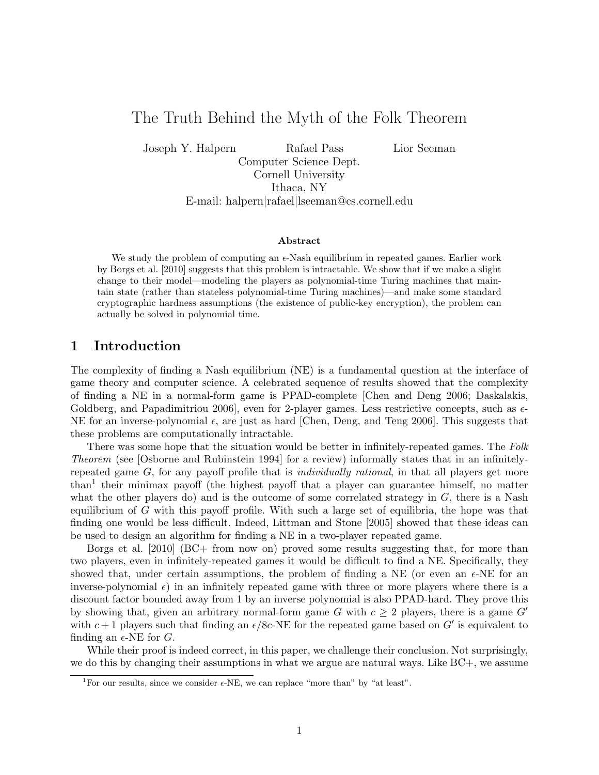# The Truth Behind the Myth of the Folk Theorem

Joseph Y. Halpern Rafael Pass Lior Seeman

Computer Science Dept. Cornell University Ithaca, NY E-mail: halpern|rafael|lseeman@cs.cornell.edu

#### Abstract

We study the problem of computing an  $\epsilon$ -Nash equilibrium in repeated games. Earlier work by Borgs et al. [2010] suggests that this problem is intractable. We show that if we make a slight change to their model—modeling the players as polynomial-time Turing machines that maintain state (rather than stateless polynomial-time Turing machines)—and make some standard cryptographic hardness assumptions (the existence of public-key encryption), the problem can actually be solved in polynomial time.

### 1 Introduction

The complexity of finding a Nash equilibrium (NE) is a fundamental question at the interface of game theory and computer science. A celebrated sequence of results showed that the complexity of finding a NE in a normal-form game is PPAD-complete [Chen and Deng 2006; Daskalakis, Goldberg, and Papadimitriou 2006, even for 2-player games. Less restrictive concepts, such as  $\epsilon$ -NE for an inverse-polynomial  $\epsilon$ , are just as hard [Chen, Deng, and Teng 2006]. This suggests that these problems are computationally intractable.

There was some hope that the situation would be better in infinitely-repeated games. The Folk Theorem (see [Osborne and Rubinstein 1994] for a review) informally states that in an infinitelyrepeated game  $G$ , for any payoff profile that is *individually rational*, in that all players get more than<sup>1</sup> their minimax payoff (the highest payoff that a player can guarantee himself, no matter what the other players do) and is the outcome of some correlated strategy in  $G$ , there is a Nash equilibrium of  $G$  with this payoff profile. With such a large set of equilibria, the hope was that finding one would be less difficult. Indeed, Littman and Stone [2005] showed that these ideas can be used to design an algorithm for finding a NE in a two-player repeated game.

Borgs et al. [2010] (BC+ from now on) proved some results suggesting that, for more than two players, even in infinitely-repeated games it would be difficult to find a NE. Specifically, they showed that, under certain assumptions, the problem of finding a NE (or even an  $\epsilon$ -NE for an inverse-polynomial  $\epsilon$ ) in an infinitely repeated game with three or more players where there is a discount factor bounded away from 1 by an inverse polynomial is also PPAD-hard. They prove this by showing that, given an arbitrary normal-form game G with  $c > 2$  players, there is a game G' with  $c + 1$  players such that finding an  $\epsilon/8c$ -NE for the repeated game based on G' is equivalent to finding an  $\epsilon$ -NE for G.

While their proof is indeed correct, in this paper, we challenge their conclusion. Not surprisingly, we do this by changing their assumptions in what we argue are natural ways. Like  $BC<sub>+</sub>$ , we assume

<sup>&</sup>lt;sup>1</sup>For our results, since we consider  $\epsilon$ -NE, we can replace "more than" by "at least".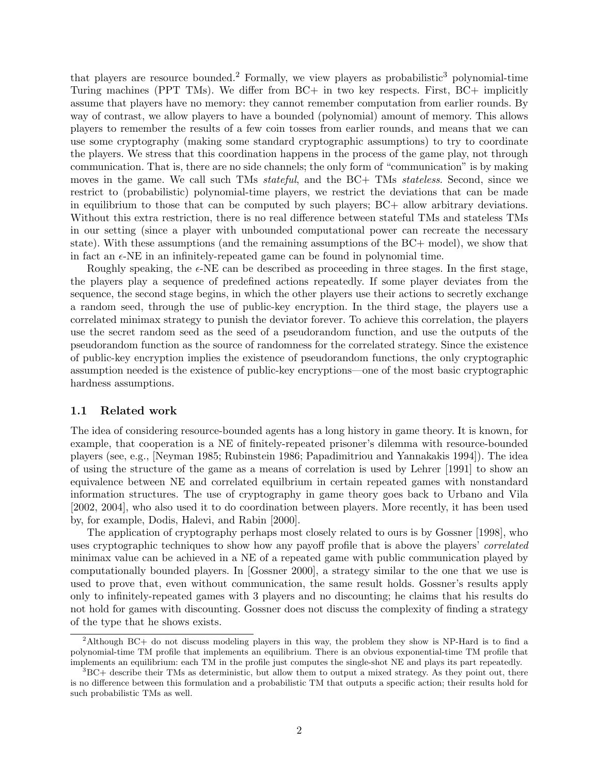that players are resource bounded.<sup>2</sup> Formally, we view players as probabilistic<sup>3</sup> polynomial-time Turing machines (PPT TMs). We differ from BC+ in two key respects. First, BC+ implicitly assume that players have no memory: they cannot remember computation from earlier rounds. By way of contrast, we allow players to have a bounded (polynomial) amount of memory. This allows players to remember the results of a few coin tosses from earlier rounds, and means that we can use some cryptography (making some standard cryptographic assumptions) to try to coordinate the players. We stress that this coordination happens in the process of the game play, not through communication. That is, there are no side channels; the only form of "communication" is by making moves in the game. We call such TMs stateful, and the BC+ TMs stateless. Second, since we restrict to (probabilistic) polynomial-time players, we restrict the deviations that can be made in equilibrium to those that can be computed by such players; BC+ allow arbitrary deviations. Without this extra restriction, there is no real difference between stateful TMs and stateless TMs in our setting (since a player with unbounded computational power can recreate the necessary state). With these assumptions (and the remaining assumptions of the BC+ model), we show that in fact an  $\epsilon$ -NE in an infinitely-repeated game can be found in polynomial time.

Roughly speaking, the  $\epsilon$ -NE can be described as proceeding in three stages. In the first stage, the players play a sequence of predefined actions repeatedly. If some player deviates from the sequence, the second stage begins, in which the other players use their actions to secretly exchange a random seed, through the use of public-key encryption. In the third stage, the players use a correlated minimax strategy to punish the deviator forever. To achieve this correlation, the players use the secret random seed as the seed of a pseudorandom function, and use the outputs of the pseudorandom function as the source of randomness for the correlated strategy. Since the existence of public-key encryption implies the existence of pseudorandom functions, the only cryptographic assumption needed is the existence of public-key encryptions—one of the most basic cryptographic hardness assumptions.

#### 1.1 Related work

The idea of considering resource-bounded agents has a long history in game theory. It is known, for example, that cooperation is a NE of finitely-repeated prisoner's dilemma with resource-bounded players (see, e.g., [Neyman 1985; Rubinstein 1986; Papadimitriou and Yannakakis 1994]). The idea of using the structure of the game as a means of correlation is used by Lehrer [1991] to show an equivalence between NE and correlated equilbrium in certain repeated games with nonstandard information structures. The use of cryptography in game theory goes back to Urbano and Vila [2002, 2004], who also used it to do coordination between players. More recently, it has been used by, for example, Dodis, Halevi, and Rabin [2000].

The application of cryptography perhaps most closely related to ours is by Gossner [1998], who uses cryptographic techniques to show how any payoff profile that is above the players' *correlated* minimax value can be achieved in a NE of a repeated game with public communication played by computationally bounded players. In [Gossner 2000], a strategy similar to the one that we use is used to prove that, even without communication, the same result holds. Gossner's results apply only to infinitely-repeated games with 3 players and no discounting; he claims that his results do not hold for games with discounting. Gossner does not discuss the complexity of finding a strategy of the type that he shows exists.

<sup>2</sup>Although BC+ do not discuss modeling players in this way, the problem they show is NP-Hard is to find a polynomial-time TM profile that implements an equilibrium. There is an obvious exponential-time TM profile that implements an equilibrium: each TM in the profile just computes the single-shot NE and plays its part repeatedly.

 ${}^{3}$ BC+ describe their TMs as deterministic, but allow them to output a mixed strategy. As they point out, there is no difference between this formulation and a probabilistic TM that outputs a specific action; their results hold for such probabilistic TMs as well.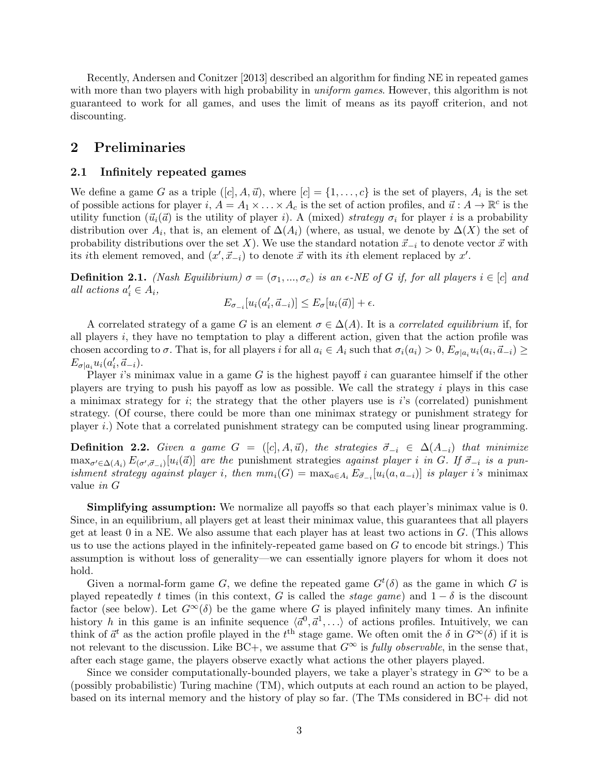Recently, Andersen and Conitzer [2013] described an algorithm for finding NE in repeated games with more than two players with high probability in *uniform games*. However, this algorithm is not guaranteed to work for all games, and uses the limit of means as its payoff criterion, and not discounting.

### 2 Preliminaries

#### 2.1 Infinitely repeated games

We define a game G as a triple  $([c], A, \vec{u})$ , where  $[c] = \{1, \ldots, c\}$  is the set of players,  $A_i$  is the set of possible actions for player  $i, A = A_1 \times \ldots \times A_c$  is the set of action profiles, and  $\vec{u} : A \to \mathbb{R}^c$  is the utility function  $(\vec{u}_i(\vec{a})$  is the utility of player i). A (mixed) strategy  $\sigma_i$  for player i is a probability distribution over  $A_i$ , that is, an element of  $\Delta(A_i)$  (where, as usual, we denote by  $\Delta(X)$  the set of probability distributions over the set X). We use the standard notation  $\vec{x}_{-i}$  to denote vector  $\vec{x}$  with its *i*th element removed, and  $(x', \vec{x}_{-i})$  to denote  $\vec{x}$  with its *i*th element replaced by x'.

**Definition 2.1.** (Nash Equilibrium)  $\sigma = (\sigma_1, ..., \sigma_c)$  is an  $\epsilon$ -NE of G if, for all players  $i \in [c]$  and all actions  $a'_i \in A_i$ ,

$$
E_{\sigma_{-i}}[u_i(a'_i, \vec{a}_{-i})] \le E_{\sigma}[u_i(\vec{a})] + \epsilon.
$$

A correlated strategy of a game G is an element  $\sigma \in \Delta(A)$ . It is a *correlated equilibrium* if, for all players  $i$ , they have no temptation to play a different action, given that the action profile was chosen according to  $\sigma$ . That is, for all players i for all  $a_i \in A_i$  such that  $\sigma_i(a_i) > 0$ ,  $E_{\sigma|a_i} u_i(a_i, \vec{a}_{-i}) \ge$  $E_{\sigma|a_i}u_i(a'_i, \vec{a}_{-i}).$ 

Player  $i$ 's minimax value in a game  $G$  is the highest payoff  $i$  can guarantee himself if the other players are trying to push his payoff as low as possible. We call the strategy  $i$  plays in this case a minimax strategy for  $i$ ; the strategy that the other players use is  $i$ 's (correlated) punishment strategy. (Of course, there could be more than one minimax strategy or punishment strategy for player i.) Note that a correlated punishment strategy can be computed using linear programming.

**Definition 2.2.** Given a game  $G = ([c], A, \vec{u})$ , the strategies  $\vec{\sigma}_{-i} \in \Delta(A_{-i})$  that minimize  $\max_{\sigma' \in \Delta(A_i)} E_{(\sigma', \vec{\sigma}_{-i})}[u_i(\vec{a})]$  are the punishment strategies against player i in G. If  $\vec{\sigma}_{-i}$  is a punishment strategy against player i, then  $mm_i(G) = \max_{a \in A_i} E_{\vec{\sigma}_{-i}}[u_i(a, a_{-i})]$  is player i's minimax value in G

Simplifying assumption: We normalize all payoffs so that each player's minimax value is 0. Since, in an equilibrium, all players get at least their minimax value, this guarantees that all players get at least 0 in a NE. We also assume that each player has at least two actions in  $G$ . (This allows us to use the actions played in the infinitely-repeated game based on  $G$  to encode bit strings.) This assumption is without loss of generality—we can essentially ignore players for whom it does not hold.

Given a normal-form game G, we define the repeated game  $G<sup>t</sup>(\delta)$  as the game in which G is played repeatedly t times (in this context, G is called the *stage game*) and  $1 - \delta$  is the discount factor (see below). Let  $G^{\infty}(\delta)$  be the game where G is played infinitely many times. An infinite history h in this game is an infinite sequence  $\langle \vec{a}^0, \vec{a}^1, \ldots \rangle$  of actions profiles. Intuitively, we can think of  $\vec{a}^t$  as the action profile played in the  $t^{\text{th}}$  stage game. We often omit the  $\delta$  in  $G^{\infty}(\delta)$  if it is not relevant to the discussion. Like BC+, we assume that  $G^{\infty}$  is fully observable, in the sense that, after each stage game, the players observe exactly what actions the other players played.

Since we consider computationally-bounded players, we take a player's strategy in  $G^{\infty}$  to be a (possibly probabilistic) Turing machine (TM), which outputs at each round an action to be played, based on its internal memory and the history of play so far. (The TMs considered in BC+ did not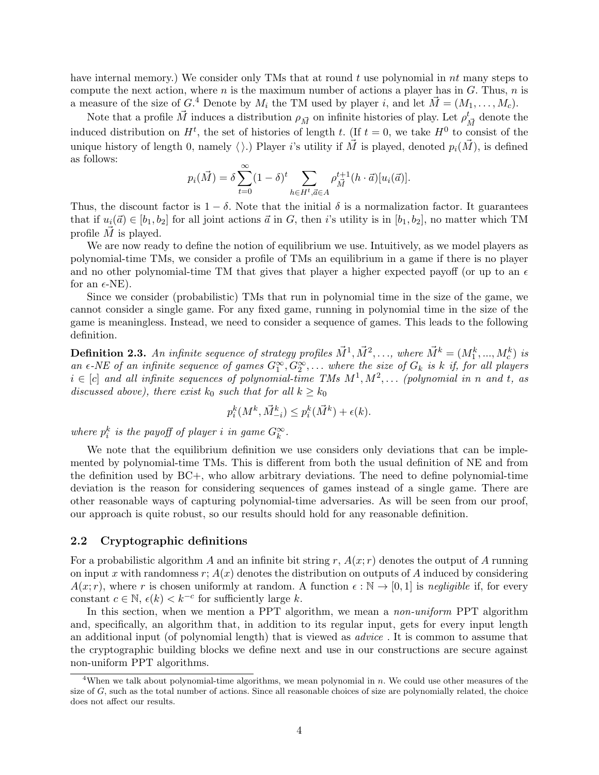have internal memory.) We consider only TMs that at round  $t$  use polynomial in  $nt$  many steps to compute the next action, where n is the maximum number of actions a player has in  $G$ . Thus, n is a measure of the size of  $G<sup>4</sup>$  Denote by  $M_i$  the TM used by player i, and let  $\vec{M} = (M_1, \ldots, M_c)$ .

Note that a profile  $\vec{M}$  induces a distribution  $\rho_{\vec{M}}$  on infinite histories of play. Let  $\rho_{\vec{M}}^t$  denote the induced distribution on  $H<sup>t</sup>$ , the set of histories of length t. (If  $t = 0$ , we take  $H<sup>0</sup>$  to consist of the unique history of length 0, namely  $\langle \rangle$ .) Player i's utility if M is played, denoted  $p_i(\vec{M})$ , is defined as follows:

$$
p_i(\vec{M}) = \delta \sum_{t=0}^{\infty} (1 - \delta)^t \sum_{h \in H^t, \vec{a} \in A} \rho_{\vec{M}}^{t+1}(h \cdot \vec{a})[u_i(\vec{a})].
$$

Thus, the discount factor is  $1 - \delta$ . Note that the initial  $\delta$  is a normalization factor. It guarantees that if  $u_i(\vec{a}) \in [b_1, b_2]$  for all joint actions  $\vec{a}$  in G, then i's utility is in  $[b_1, b_2]$ , no matter which TM profile  $\vec{M}$  is played.

We are now ready to define the notion of equilibrium we use. Intuitively, as we model players as polynomial-time TMs, we consider a profile of TMs an equilibrium in a game if there is no player and no other polynomial-time TM that gives that player a higher expected payoff (or up to an  $\epsilon$ for an  $\epsilon$ -NE).

Since we consider (probabilistic) TMs that run in polynomial time in the size of the game, we cannot consider a single game. For any fixed game, running in polynomial time in the size of the game is meaningless. Instead, we need to consider a sequence of games. This leads to the following definition.

**Definition 2.3.** An infinite sequence of strategy profiles  $\vec{M}^1, \vec{M}^2, \ldots$ , where  $\vec{M}^k = (M_1^k, ..., M_c^k)$  is an  $\epsilon$ -NE of an infinite sequence of games  $G_1^{\infty}, G_2^{\infty}, \ldots$  where the size of  $G_k$  is k if, for all players  $i \in [c]$  and all infinite sequences of polynomial-time TMs  $M^1, M^2, \ldots$  (polynomial in n and t, as discussed above), there exist  $k_0$  such that for all  $k \geq k_0$ 

$$
p_i^k(M^k, \vec{M}_{-i}^k) \le p_i^k(\vec{M}^k) + \epsilon(k).
$$

where  $p_i^k$  is the payoff of player i in game  $G_k^{\infty}$ .

We note that the equilibrium definition we use considers only deviations that can be implemented by polynomial-time TMs. This is different from both the usual definition of NE and from the definition used by BC+, who allow arbitrary deviations. The need to define polynomial-time deviation is the reason for considering sequences of games instead of a single game. There are other reasonable ways of capturing polynomial-time adversaries. As will be seen from our proof, our approach is quite robust, so our results should hold for any reasonable definition.

#### 2.2 Cryptographic definitions

For a probabilistic algorithm A and an infinite bit string r,  $A(x; r)$  denotes the output of A running on input x with randomness  $r$ ;  $A(x)$  denotes the distribution on outputs of A induced by considering  $A(x; r)$ , where r is chosen uniformly at random. A function  $\epsilon : \mathbb{N} \to [0, 1]$  is negligible if, for every constant  $c \in \mathbb{N}$ ,  $\epsilon(k) < k^{-c}$  for sufficiently large k.

In this section, when we mention a PPT algorithm, we mean a *non-uniform* PPT algorithm and, specifically, an algorithm that, in addition to its regular input, gets for every input length an additional input (of polynomial length) that is viewed as advice . It is common to assume that the cryptographic building blocks we define next and use in our constructions are secure against non-uniform PPT algorithms.

<sup>&</sup>lt;sup>4</sup>When we talk about polynomial-time algorithms, we mean polynomial in n. We could use other measures of the size of G, such as the total number of actions. Since all reasonable choices of size are polynomially related, the choice does not affect our results.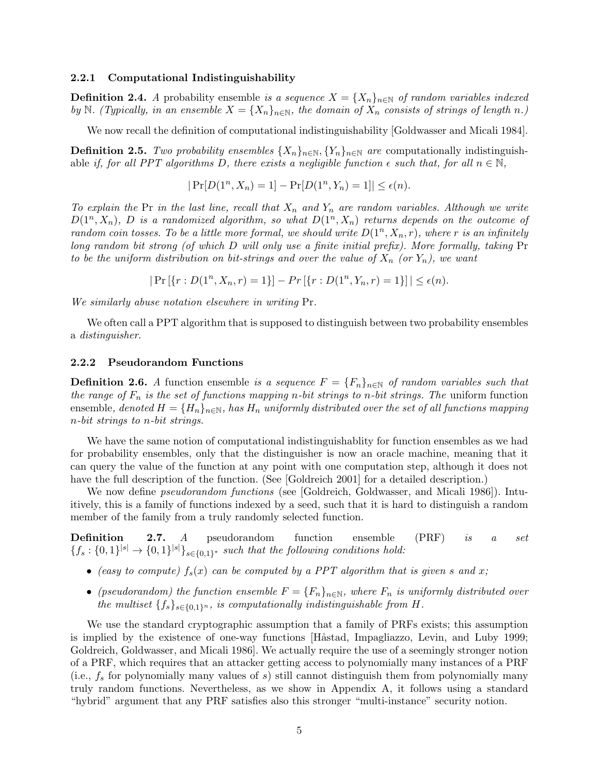#### 2.2.1 Computational Indistinguishability

**Definition 2.4.** A probability ensemble is a sequence  $X = \{X_n\}_{n\in\mathbb{N}}$  of random variables indexed by N. (Typically, in an ensemble  $X = \{X_n\}_{n\in\mathbb{N}}$ , the domain of  $X_n$  consists of strings of length n.)

We now recall the definition of computational indistinguishability [Goldwasser and Micali 1984].

**Definition 2.5.** Two probability ensembles  $\{X_n\}_{n\in\mathbb{N}}, \{Y_n\}_{n\in\mathbb{N}}$  are computationally indistinguishable if, for all PPT algorithms D, there exists a negligible function  $\epsilon$  such that, for all  $n \in \mathbb{N}$ ,

$$
|\Pr[D(1^n, X_n) = 1] - \Pr[D(1^n, Y_n) = 1]| \le \epsilon(n).
$$

To explain the Pr in the last line, recall that  $X_n$  and  $Y_n$  are random variables. Although we write  $D(1^n, X_n)$ , D is a randomized algorithm, so what  $D(1^n, X_n)$  returns depends on the outcome of random coin tosses. To be a little more formal, we should write  $D(1^n, X_n, r)$ , where r is an infinitely long random bit strong (of which D will only use a finite initial prefix). More formally, taking Pr to be the uniform distribution on bit-strings and over the value of  $X_n$  (or  $Y_n$ ), we want

 $|\Pr\left[\{r: D(1^n, X_n, r) = 1\}\right] - Pr\left[\{r: D(1^n, Y_n, r) = 1\}\right]| \leq \epsilon(n).$ 

We similarly abuse notation elsewhere in writing Pr.

We often call a PPT algorithm that is supposed to distinguish between two probability ensembles a distinguisher.

#### 2.2.2 Pseudorandom Functions

**Definition 2.6.** A function ensemble is a sequence  $F = \{F_n\}_{n \in \mathbb{N}}$  of random variables such that the range of  $F_n$  is the set of functions mapping n-bit strings to n-bit strings. The uniform function ensemble, denoted  $H = \{H_n\}_{n\in\mathbb{N}}$ , has  $H_n$  uniformly distributed over the set of all functions mapping n-bit strings to n-bit strings.

We have the same notion of computational indistinguishablity for function ensembles as we had for probability ensembles, only that the distinguisher is now an oracle machine, meaning that it can query the value of the function at any point with one computation step, although it does not have the full description of the function. (See [Goldreich 2001] for a detailed description.)

We now define *pseudorandom functions* (see [Goldreich, Goldwasser, and Micali 1986]). Intuitively, this is a family of functions indexed by a seed, such that it is hard to distinguish a random member of the family from a truly randomly selected function.

Definition 2.7. A pseudorandom function ensemble (PRF) is a set  ${f_s: \{0,1\}^{|s|} \rightarrow \{0,1\}^{|s|}\}_{s \in \{0,1\}^*}$  such that the following conditions hold:

- (easy to compute)  $f_s(x)$  can be computed by a PPT algorithm that is given s and x;
- (pseudorandom) the function ensemble  $F = \{F_n\}_{n \in \mathbb{N}}$ , where  $F_n$  is uniformly distributed over the multiset  $\{f_s\}_{s\in\{0,1\}^n}$ , is computationally indistinguishable from H.

We use the standard cryptographic assumption that a family of PRFs exists; this assumption is implied by the existence of one-way functions [Håstad, Impagliazzo, Levin, and Luby 1999; Goldreich, Goldwasser, and Micali 1986]. We actually require the use of a seemingly stronger notion of a PRF, which requires that an attacker getting access to polynomially many instances of a PRF (i.e.,  $f_s$  for polynomially many values of s) still cannot distinguish them from polynomially many truly random functions. Nevertheless, as we show in Appendix A, it follows using a standard "hybrid" argument that any PRF satisfies also this stronger "multi-instance" security notion.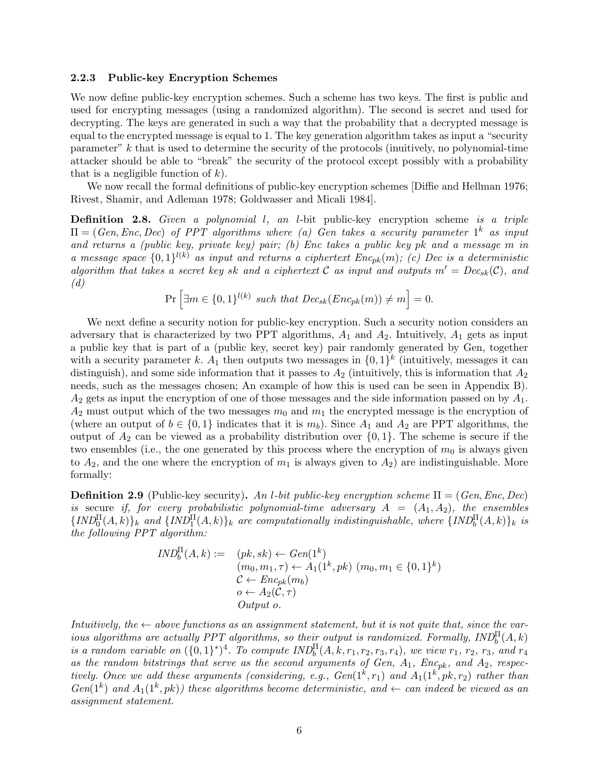#### 2.2.3 Public-key Encryption Schemes

We now define public-key encryption schemes. Such a scheme has two keys. The first is public and used for encrypting messages (using a randomized algorithm). The second is secret and used for decrypting. The keys are generated in such a way that the probability that a decrypted message is equal to the encrypted message is equal to 1. The key generation algorithm takes as input a "security parameter" k that is used to determine the security of the protocols (inuitively, no polynomial-time attacker should be able to "break" the security of the protocol except possibly with a probability that is a negligible function of  $k$ ).

We now recall the formal definitions of public-key encryption schemes [Diffie and Hellman 1976; Rivest, Shamir, and Adleman 1978; Goldwasser and Micali 1984].

Definition 2.8. Given a polynomial l, an l-bit public-key encryption scheme is a triple  $\Pi = (Gen, Enc, Dec)$  of PPT algorithms where (a) Gen takes a security parameter  $1^k$  as input and returns a (public key, private key) pair; (b) Enc takes a public key pk and a message m in a message space  $\{0,1\}^{l(k)}$  as input and returns a ciphertext  $Enc_{pk}(m)$ ; (c) Dec is a deterministic algorithm that takes a secret key sk and a ciphertext C as input and outputs  $m' = Dec_{sk}(\mathcal{C})$ , and (d)

$$
\Pr\left[\exists m \in \{0,1\}^{l(k)} \text{ such that } Dec_{sk}(Enc_{pk}(m)) \neq m\right] = 0.
$$

We next define a security notion for public-key encryption. Such a security notion considers an adversary that is characterized by two PPT algorithms,  $A_1$  and  $A_2$ . Intuitively,  $A_1$  gets as input a public key that is part of a (public key, secret key) pair randomly generated by Gen, together with a security parameter k.  $A_1$  then outputs two messages in  $\{0,1\}^k$  (intuitively, messages it can distinguish), and some side information that it passes to  $A_2$  (intuitively, this is information that  $A_2$ needs, such as the messages chosen; An example of how this is used can be seen in Appendix B).  $A_2$  gets as input the encryption of one of those messages and the side information passed on by  $A_1$ .  $A_2$  must output which of the two messages  $m_0$  and  $m_1$  the encrypted message is the encryption of (where an output of  $b \in \{0,1\}$  indicates that it is  $m_b$ ). Since  $A_1$  and  $A_2$  are PPT algorithms, the output of  $A_2$  can be viewed as a probability distribution over  $\{0,1\}$ . The scheme is secure if the two ensembles (i.e., the one generated by this process where the encryption of  $m_0$  is always given to  $A_2$ , and the one where the encryption of  $m_1$  is always given to  $A_2$ ) are indistinguishable. More formally:

**Definition 2.9** (Public-key security). An l-bit public-key encryption scheme  $\Pi = (Gen, Enc, Dec)$ is secure if, for every probabilistic polynomial-time adversary  $A = (A_1, A_2)$ , the ensembles  $\{IND_0^{\Pi}(A,k)\}_k$  and  $\{IND_1^{\Pi}(A,k)\}_k$  are computationally indistinguishable, where  $\{IND_b^{\Pi}(A,k)\}_k$  is the following PPT algorithm:

$$
IND_b^{\Pi}(A, k) := (pk, sk) \leftarrow Gen(1^k)
$$
  
\n
$$
(m_0, m_1, \tau) \leftarrow A_1(1^k, pk) \ (m_0, m_1 \in \{0, 1\}^k)
$$
  
\n
$$
C \leftarrow Enc_{pk}(m_b)
$$
  
\n
$$
o \leftarrow A_2(C, \tau)
$$
  
\nOutput o.

Intuitively, the  $\leftarrow$  above functions as an assignment statement, but it is not quite that, since the various algorithms are actually PPT algorithms, so their output is randomized. Formally,  $IND_b^{\Pi}(A, k)$ is a random variable on  $(\{0,1\}^*)^4$ . To compute  $IND_b^{\Pi}(A,k,r_1,r_2,r_3,r_4)$ , we view  $r_1$ ,  $r_2$ ,  $r_3$ , and  $r_4$ as the random bitstrings that serve as the second arguments of Gen,  $A_1$ , Enc<sub>pk</sub>, and  $A_2$ , respectively. Once we add these arguments (considering, e.g.,  $Gen(1^k, r_1)$  and  $A_1(1^k, pk, r_2)$  rather than Gen(1<sup>k</sup>) and  $A_1(1^k, pk)$ ) these algorithms become deterministic, and  $\leftarrow$  can indeed be viewed as an assignment statement.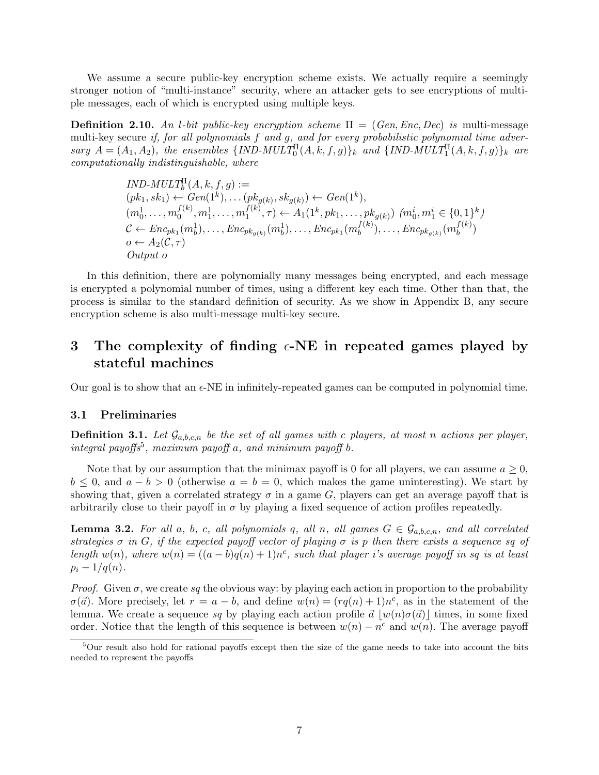We assume a secure public-key encryption scheme exists. We actually require a seemingly stronger notion of "multi-instance" security, where an attacker gets to see encryptions of multiple messages, each of which is encrypted using multiple keys.

**Definition 2.10.** An l-bit public-key encryption scheme  $\Pi = (Gen, Enc, Dec)$  is multi-message multi-key secure if, for all polynomials f and g, and for every probabilistic polynomial time adversary  $A = (A_1, A_2)$ , the ensembles  $\{IND\text{-}MULT_0^{\Pi}(A, k, f, g)\}_k$  and  $\{IND\text{-}MULT_1^{\Pi}(A, k, f, g)\}_k$  are computationally indistinguishable, where

> $IND-MULT_b^{\Pi}(A,k,f,g):=$  $(pk_1, sk_1) \leftarrow Gen(1^k), \ldots (pk_{g(k)}, sk_{g(k)}) \leftarrow Gen(1^k),$  $(m_0^1, \ldots, m_0^{f(k)})$  $_{0}^{f(k)},m_{1}^{1},\ldots ,m_{1}^{f(k)}$  $\{f^{(k)},\tau\} \leftarrow A_1(1^k, pk_1, \ldots, pk_{g(k)}) \ \ (m_0^i, m_1^i \in \{0,1\}^k)$  $C \leftarrow Enc_{pk_1}(m_b^1), \ldots, Enc_{pk_{g(k)}}(m_b^1), \ldots, Enc_{pk_1}(m_b^{f(k)})$  $\binom{f(k)}{b},\ldots,Enc_{pk_{g(k)}}(m_b^{f(k)})$  $\binom{J(\kappa)}{b}$  $o \leftarrow A_2(\mathcal{C}, \tau)$ Output o

In this definition, there are polynomially many messages being encrypted, and each message is encrypted a polynomial number of times, using a different key each time. Other than that, the process is similar to the standard definition of security. As we show in Appendix B, any secure encryption scheme is also multi-message multi-key secure.

# 3 The complexity of finding  $\epsilon$ -NE in repeated games played by stateful machines

Our goal is to show that an  $\epsilon$ -NE in infinitely-repeated games can be computed in polynomial time.

#### 3.1 Preliminaries

**Definition 3.1.** Let  $\mathcal{G}_{a,b,c,n}$  be the set of all games with c players, at most n actions per player, integral payoffs<sup>5</sup>, maximum payoff a, and minimum payoff b.

Note that by our assumption that the minimax payoff is 0 for all players, we can assume  $a \geq 0$ ,  $b \leq 0$ , and  $a - b > 0$  (otherwise  $a = b = 0$ , which makes the game uninteresting). We start by showing that, given a correlated strategy  $\sigma$  in a game G, players can get an average payoff that is arbitrarily close to their payoff in  $\sigma$  by playing a fixed sequence of action profiles repeatedly.

**Lemma 3.2.** For all a, b, c, all polynomials q, all n, all games  $G \in \mathcal{G}_{a,b,c,n}$ , and all correlated strategies  $\sigma$  in G, if the expected payoff vector of playing  $\sigma$  is p then there exists a sequence sq of length  $w(n)$ , where  $w(n) = ((a - b)q(n) + 1)n^c$ , such that player i's average payoff in sq is at least  $p_i - 1/q(n)$ .

*Proof.* Given  $\sigma$ , we create sq the obvious way: by playing each action in proportion to the probability  $\sigma(\vec{a})$ . More precisely, let  $r = a - b$ , and define  $w(n) = (rq(n) + 1)n^c$ , as in the statement of the lemma. We create a sequence sq by playing each action profile  $\vec{a} \mid w(n)\sigma(\vec{a})\mid$  times, in some fixed order. Notice that the length of this sequence is between  $w(n) - n^c$  and  $w(n)$ . The average payoff

<sup>5</sup>Our result also hold for rational payoffs except then the size of the game needs to take into account the bits needed to represent the payoffs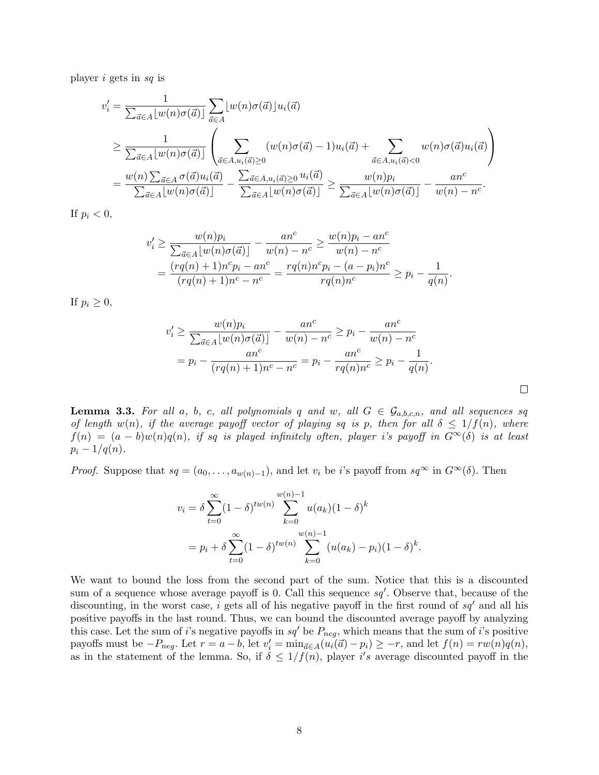player i gets in  $sq$  is

$$
v'_{i} = \frac{1}{\sum_{\vec{a} \in A} \lfloor w(n)\sigma(\vec{a}) \rfloor} \sum_{\vec{a} \in A} \lfloor w(n)\sigma(\vec{a}) \rfloor u_{i}(\vec{a})
$$
  
\n
$$
\geq \frac{1}{\sum_{\vec{a} \in A} \lfloor w(n)\sigma(\vec{a}) \rfloor} \left( \sum_{\vec{a} \in A, u_{i}(\vec{a}) \geq 0} (w(n)\sigma(\vec{a}) - 1)u_{i}(\vec{a}) + \sum_{\vec{a} \in A, u_{i}(\vec{a}) < 0} w(n)\sigma(\vec{a})u_{i}(\vec{a}) \right)
$$
  
\n
$$
= \frac{w(n)\sum_{\vec{a} \in A} \sigma(\vec{a})u_{i}(\vec{a})}{\sum_{\vec{a} \in A} \lfloor w(n)\sigma(\vec{a}) \rfloor} - \frac{\sum_{\vec{a} \in A, u_{i}(\vec{a}) \geq 0} u_{i}(\vec{a})}{\sum_{\vec{a} \in A} \lfloor w(n)\sigma(\vec{a}) \rfloor} \geq \frac{w(n)p_{i}}{\sum_{\vec{a} \in A} \lfloor w(n)\sigma(\vec{a}) \rfloor} - \frac{an^{c}}{w(n) - n^{c}}.
$$

If  $p_i < 0$ ,

$$
v'_{i} \geq \frac{w(n)p_{i}}{\sum_{\vec{a} \in A} \lfloor w(n)\sigma(\vec{a}) \rfloor} - \frac{an^{c}}{w(n) - n^{c}} \geq \frac{w(n)p_{i} - an^{c}}{w(n) - n^{c}}
$$
  
= 
$$
\frac{(rq(n) + 1)n^{c}p_{i} - an^{c}}{(rq(n) + 1)n^{c} - n^{c}} = \frac{rq(n)n^{c}p_{i} - (a - p_{i})n^{c}}{rq(n)n^{c}} \geq p_{i} - \frac{1}{q(n)}.
$$

If  $p_i \geq 0$ ,

$$
v'_{i} \geq \frac{w(n)p_{i}}{\sum_{\vec{a} \in A} \lfloor w(n)\sigma(\vec{a}) \rfloor} - \frac{an^{c}}{w(n) - n^{c}} \geq p_{i} - \frac{an^{c}}{w(n) - n^{c}}
$$
  
=  $p_{i} - \frac{an^{c}}{(rq(n) + 1)n^{c} - n^{c}} = p_{i} - \frac{an^{c}}{rq(n)n^{c}} \geq p_{i} - \frac{1}{q(n)}.$ 

**Lemma 3.3.** For all a, b, c, all polynomials q and w, all  $G \in \mathcal{G}_{a,b,c,n}$ , and all sequences sq of length w(n), if the average payoff vector of playing sq is p, then for all  $\delta \leq 1/f(n)$ , where  $f(n) = (a - b)w(n)q(n)$ , if sq is played infinitely often, player i's payoff in  $G^{\infty}(\delta)$  is at least  $p_i - 1/q(n)$ .

*Proof.* Suppose that  $sq = (a_0, \ldots, a_{w(n)-1})$ , and let  $v_i$  be i's payoff from  $sq^{\infty}$  in  $G^{\infty}(\delta)$ . Then

$$
v_i = \delta \sum_{t=0}^{\infty} (1 - \delta)^{tw(n)} \sum_{k=0}^{w(n)-1} u(a_k)(1 - \delta)^k
$$
  
=  $p_i + \delta \sum_{t=0}^{\infty} (1 - \delta)^{tw(n)} \sum_{k=0}^{w(n)-1} (u(a_k) - p_i)(1 - \delta)^k.$ 

We want to bound the loss from the second part of the sum. Notice that this is a discounted sum of a sequence whose average payoff is 0. Call this sequence  $sq'$ . Observe that, because of the discounting, in the worst case, i gets all of his negative payoff in the first round of  $sq'$  and all his positive payoffs in the last round. Thus, we can bound the discounted average payoff by analyzing this case. Let the sum of i's negative payoffs in  $sq'$  be  $P_{neg}$ , which means that the sum of i's positive payoffs must be  $-P_{neg}$ . Let  $r = a - b$ , let  $v'_i = \min_{\vec{a} \in A} (u_i(\vec{a}) - p_i) \geq -r$ , and let  $f(n) = rw(n)q(n)$ , as in the statement of the lemma. So, if  $\delta \leq 1/f(n)$ , player i's average discounted payoff in the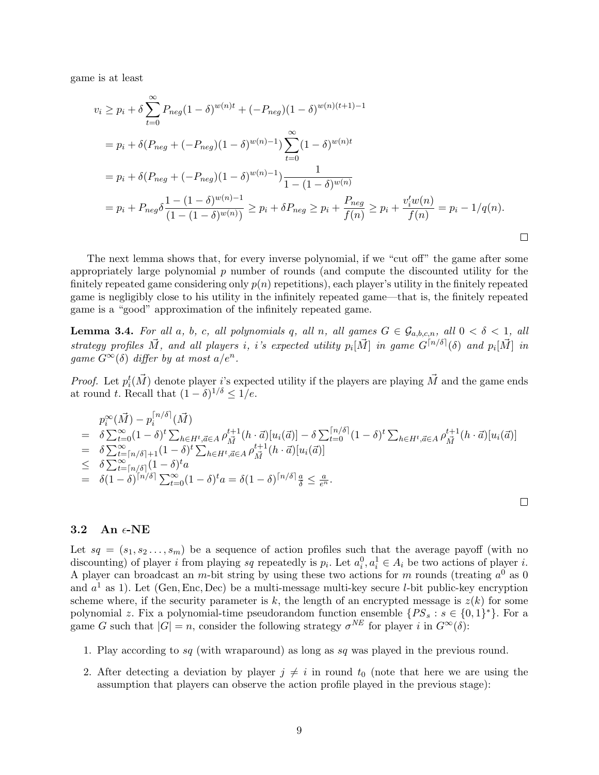game is at least

$$
v_i \ge p_i + \delta \sum_{t=0}^{\infty} P_{neg}(1-\delta)^{w(n)t} + (-P_{neg})(1-\delta)^{w(n)(t+1)-1}
$$
  
=  $p_i + \delta(P_{neg} + (-P_{neg})(1-\delta)^{w(n)-1}) \sum_{t=0}^{\infty} (1-\delta)^{w(n)t}$   
=  $p_i + \delta(P_{neg} + (-P_{neg})(1-\delta)^{w(n)-1}) \frac{1}{1 - (1-\delta)^{w(n)}}$   
=  $p_i + P_{neg} \delta \frac{1 - (1-\delta)^{w(n)-1}}{(1 - (1-\delta)^{w(n)})} \ge p_i + \delta P_{neg} \ge p_i + \frac{P_{neg}}{f(n)} \ge p_i + \frac{v'_i w(n)}{f(n)} = p_i - 1/q(n).$ 

The next lemma shows that, for every inverse polynomial, if we "cut off" the game after some appropriately large polynomial  $p$  number of rounds (and compute the discounted utility for the finitely repeated game considering only  $p(n)$  repetitions), each player's utility in the finitely repeated game is negligibly close to his utility in the infinitely repeated game—that is, the finitely repeated game is a "good" approximation of the infinitely repeated game.

**Lemma 3.4.** For all a, b, c, all polynomials q, all n, all games  $G \in \mathcal{G}_{a,b,c,n}$ , all  $0 < \delta < 1$ , all strategy profiles  $\vec{M}$ , and all players i, i's expected utility  $p_i[\vec{M}]$  in game  $G^{\lceil n/\delta \rceil}(\delta)$  and  $p_i[\vec{M}]$  in game  $G^{\infty}(\delta)$  differ by at most  $a/e^n$ .

*Proof.* Let  $p_i^t(\vec{M})$  denote player i's expected utility if the players are playing  $\vec{M}$  and the game ends at round t. Recall that  $(1 - \delta)^{1/\delta} \leq 1/e$ .

$$
p_i^{\infty}(\vec{M}) - p_i^{\lceil n/\delta \rceil}(\vec{M})
$$
\n
$$
= \delta \sum_{t=0}^{\infty} (1-\delta)^t \sum_{h \in H^t, \vec{a} \in A} \rho_{\vec{M}}^{t+1}(h \cdot \vec{a})[u_i(\vec{a})] - \delta \sum_{t=0}^{\lceil n/\delta \rceil} (1-\delta)^t \sum_{h \in H^t, \vec{a} \in A} \rho_{\vec{M}}^{t+1}(h \cdot \vec{a})[u_i(\vec{a})]
$$
\n
$$
= \delta \sum_{t=\lceil n/\delta \rceil}^{\infty} (1-\delta)^t \sum_{h \in H^t, \vec{a} \in A} \rho_{\vec{M}}^{t+1}(h \cdot \vec{a})[u_i(\vec{a})]
$$
\n
$$
\leq \delta \sum_{t=\lceil n/\delta \rceil}^{\infty} (1-\delta)^t a
$$
\n
$$
= \delta (1-\delta)^{\lceil n/\delta \rceil} \sum_{t=0}^{\infty} (1-\delta)^t a = \delta (1-\delta)^{\lceil n/\delta \rceil} \frac{a}{\delta} \leq \frac{a}{e^n}.
$$

 $\Box$ 

### 3.2 An  $\epsilon$ -NE

Let  $sq = (s_1, s_2, \ldots, s_m)$  be a sequence of action profiles such that the average payoff (with no discounting) of player *i* from playing sq repeatedly is  $p_i$ . Let  $a_i^0, a_i^1 \in A_i$  be two actions of player *i*. A player can broadcast an m-bit string by using these two actions for m rounds (treating  $a^0$  as 0 and  $a^1$  as 1). Let (Gen, Enc, Dec) be a multi-message multi-key secure *l*-bit public-key encryption scheme where, if the security parameter is k, the length of an encrypted message is  $z(k)$  for some polynomial z. Fix a polynomial-time pseudorandom function ensemble  $\{PS_s : s \in \{0,1\}^*\}$ . For a game G such that  $|G| = n$ , consider the following strategy  $\sigma^{NE}$  for player i in  $G^{\infty}(\delta)$ :

- 1. Play according to sq (with wraparound) as long as sq was played in the previous round.
- 2. After detecting a deviation by player  $j \neq i$  in round  $t_0$  (note that here we are using the assumption that players can observe the action profile played in the previous stage):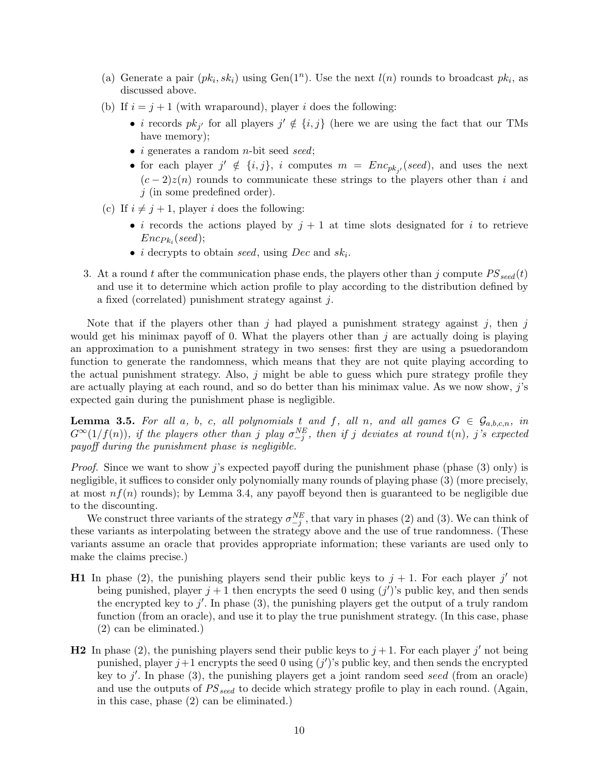- (a) Generate a pair  $(pk_i, sk_i)$  using Gen $(1^n)$ . Use the next  $l(n)$  rounds to broadcast  $pk_i$ , as discussed above.
- (b) If  $i = j + 1$  (with wraparound), player i does the following:
	- *i* records  $pk_{j'}$  for all players  $j' \notin \{i, j\}$  (here we are using the fact that our TMs have memory);
	- *i* generates a random *n*-bit seed *seed*;
	- for each player  $j' \notin \{i, j\}$ , i computes  $m = Enc_{pk_{j'}}(seed)$ , and uses the next  $(c-2)z(n)$  rounds to communicate these strings to the players other than i and  $j$  (in some predefined order).
- (c) If  $i \neq j + 1$ , player i does the following:
	- *i* records the actions played by  $j + 1$  at time slots designated for *i* to retrieve  $Enc_{Pk_i}(seed);$
	- *i* decrypts to obtain seed, using Dec and  $sk_i$ .
- 3. At a round t after the communication phase ends, the players other than j compute  $PS_{seed}(t)$ and use it to determine which action profile to play according to the distribution defined by a fixed (correlated) punishment strategy against j.

Note that if the players other than  $j$  had played a punishment strategy against  $j$ , then  $j$ would get his minimax payoff of 0. What the players other than  $j$  are actually doing is playing an approximation to a punishment strategy in two senses: first they are using a psuedorandom function to generate the randomness, which means that they are not quite playing according to the actual punishment strategy. Also,  $j$  might be able to guess which pure strategy profile they are actually playing at each round, and so do better than his minimax value. As we now show, j's expected gain during the punishment phase is negligible.

**Lemma 3.5.** For all a, b, c, all polynomials t and f, all n, and all games  $G \in \mathcal{G}_{a,b,c,n}$ , in  $G^{\infty}(1/f(n))$ , if the players other than j play  $\sigma_{-j}^{NE}$ , then if j deviates at round  $t(n)$ , j's expected payoff during the punishment phase is negligible.

*Proof.* Since we want to show j's expected payoff during the punishment phase (phase  $(3)$  only) is negligible, it suffices to consider only polynomially many rounds of playing phase (3) (more precisely, at most  $nf(n)$  rounds); by Lemma 3.4, any payoff beyond then is guaranteed to be negligible due to the discounting.

We construct three variants of the strategy  $\sigma_{-j}^{NE}$ , that vary in phases (2) and (3). We can think of these variants as interpolating between the strategy above and the use of true randomness. (These variants assume an oracle that provides appropriate information; these variants are used only to make the claims precise.)

- **H1** In phase (2), the punishing players send their public keys to  $j + 1$ . For each player j' not being punished, player  $j + 1$  then encrypts the seed 0 using  $(j')$ 's public key, and then sends the encrypted key to  $j'$ . In phase (3), the punishing players get the output of a truly random function (from an oracle), and use it to play the true punishment strategy. (In this case, phase (2) can be eliminated.)
- **H2** In phase (2), the punishing players send their public keys to  $j + 1$ . For each player j' not being punished, player  $j+1$  encrypts the seed 0 using  $(j')$ 's public key, and then sends the encrypted key to  $j'$ . In phase (3), the punishing players get a joint random seed seed (from an oracle) and use the outputs of  $PS_{seed}$  to decide which strategy profile to play in each round. (Again, in this case, phase (2) can be eliminated.)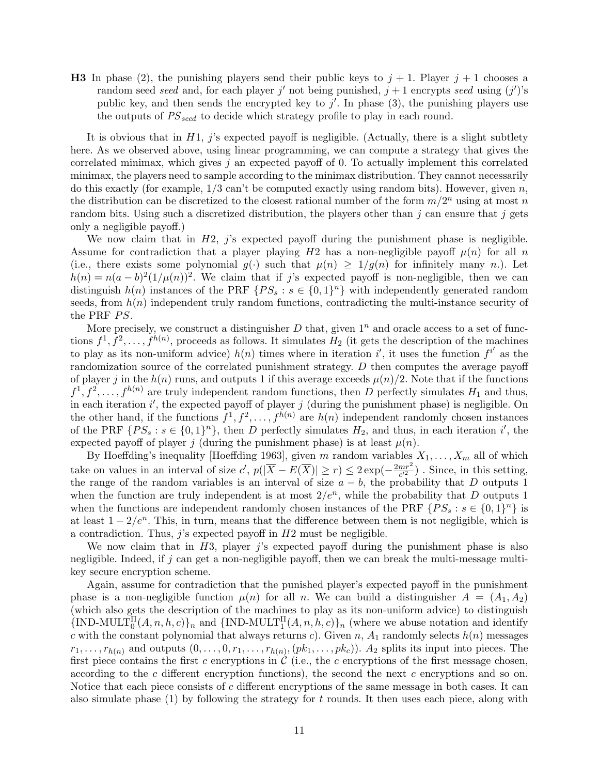**H3** In phase (2), the punishing players send their public keys to  $j + 1$ . Player  $j + 1$  chooses a random seed seed and, for each player j' not being punished,  $j + 1$  encrypts seed using  $(j')$ 's public key, and then sends the encrypted key to  $j'$ . In phase (3), the punishing players use the outputs of  $PS_{seed}$  to decide which strategy profile to play in each round.

It is obvious that in  $H1$ , j's expected payoff is negligible. (Actually, there is a slight subtlety here. As we observed above, using linear programming, we can compute a strategy that gives the correlated minimax, which gives  $j$  an expected payoff of 0. To actually implement this correlated minimax, the players need to sample according to the minimax distribution. They cannot necessarily do this exactly (for example,  $1/3$  can't be computed exactly using random bits). However, given n, the distribution can be discretized to the closest rational number of the form  $m/2^n$  using at most n random bits. Using such a discretized distribution, the players other than  $j$  can ensure that  $j$  gets only a negligible payoff.)

We now claim that in  $H_2$ , *j's* expected payoff during the punishment phase is negligible. Assume for contradiction that a player playing  $H2$  has a non-negligible payoff  $\mu(n)$  for all n (i.e., there exists some polynomial  $g(\cdot)$  such that  $\mu(n) \geq 1/q(n)$  for infinitely many n.). Let  $h(n) = n(a - b)^2 (1/\mu(n))^2$ . We claim that if j's expected payoff is non-negligible, then we can distinguish  $h(n)$  instances of the PRF  $\{PS_s : s \in \{0,1\}^n\}$  with independently generated random seeds, from  $h(n)$  independent truly random functions, contradicting the multi-instance security of the PRF *PS*.

More precisely, we construct a distinguisher  $D$  that, given  $1<sup>n</sup>$  and oracle access to a set of functions  $f^1, f^2, \ldots, f^{h(n)}$ , proceeds as follows. It simulates  $H_2$  (it gets the description of the machines to play as its non-uniform advice)  $h(n)$  times where in iteration i', it uses the function  $f^{i'}$  as the randomization source of the correlated punishment strategy. D then computes the average payoff of player j in the  $h(n)$  runs, and outputs 1 if this average exceeds  $\mu(n)/2$ . Note that if the functions  $f^1, f^2, \ldots, f^{h(n)}$  are truly independent random functions, then D perfectly simulates  $H_1$  and thus, in each iteration  $i'$ , the expected payoff of player  $j$  (during the punishment phase) is negligible. On the other hand, if the functions  $f^1, f^2, \ldots, f^{h(n)}$  are  $h(n)$  independent randomly chosen instances of the PRF  $\{PS_s : s \in \{0,1\}^n\}$ , then D perfectly simulates  $H_2$ , and thus, in each iteration i', the expected payoff of player j (during the punishment phase) is at least  $\mu(n)$ .

By Hoeffding's inequality [Hoeffding 1963], given m random variables  $X_1, \ldots, X_m$  all of which take on values in an interval of size  $c', p(|\overline{X} - E(\overline{X})| \ge r) \le 2 \exp(-\frac{2mr^2}{c'^2})$  $\frac{mr^2}{c'^2}$ ). Since, in this setting, the range of the random variables is an interval of size  $a - b$ , the probability that D outputs 1 when the function are truly independent is at most  $2/e^n$ , while the probability that D outputs 1 when the functions are independent randomly chosen instances of the PRF  $\{PS_s : s \in \{0,1\}^n\}$  is at least  $1 - 2/e^n$ . This, in turn, means that the difference between them is not negligible, which is a contradiction. Thus,  $i$ 's expected payoff in  $H2$  must be negligible.

We now claim that in  $H_3$ , player j's expected payoff during the punishment phase is also negligible. Indeed, if j can get a non-negligible payoff, then we can break the multi-message multikey secure encryption scheme.

Again, assume for contradiction that the punished player's expected payoff in the punishment phase is a non-negligible function  $\mu(n)$  for all n. We can build a distinguisher  $A = (A_1, A_2)$ (which also gets the description of the machines to play as its non-uniform advice) to distinguish  ${\rm (IND-MULT_0^{\Pi}(A, n, h, c)}_n$  and  ${\rm (IND-MULT_1^{\Pi}(A, n, h, c)}_n$  (where we abuse notation and identify c with the constant polynomial that always returns c). Given n,  $A_1$  randomly selects  $h(n)$  messages  $r_1, \ldots, r_{h(n)}$  and outputs  $(0, \ldots, 0, r_1, \ldots, r_{h(n)}, (pk_1, \ldots, pk_c))$ . A<sub>2</sub> splits its input into pieces. The first piece contains the first c encryptions in  $\hat{\mathcal{C}}$  (i.e., the c encryptions of the first message chosen, according to the c different encryption functions), the second the next c encryptions and so on. Notice that each piece consists of c different encryptions of the same message in both cases. It can also simulate phase  $(1)$  by following the strategy for t rounds. It then uses each piece, along with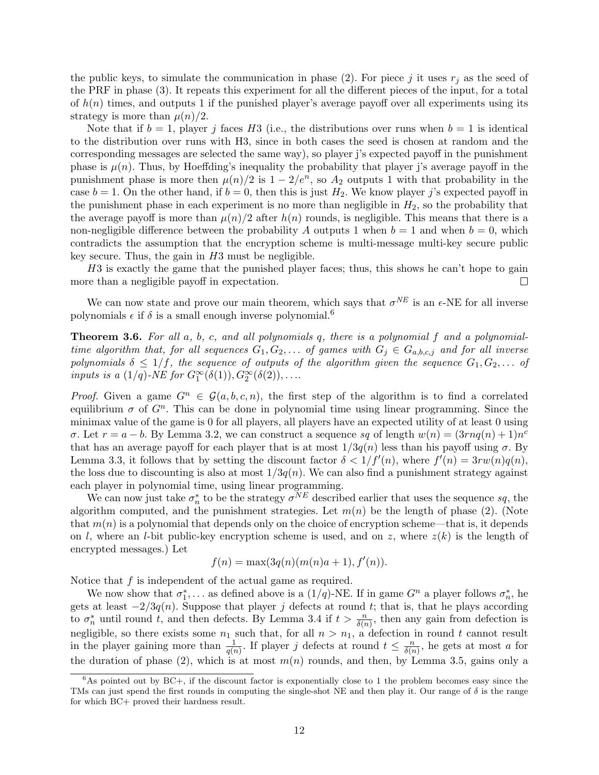the public keys, to simulate the communication in phase (2). For piece j it uses  $r_j$  as the seed of the PRF in phase (3). It repeats this experiment for all the different pieces of the input, for a total of  $h(n)$  times, and outputs 1 if the punished player's average payoff over all experiments using its strategy is more than  $\mu(n)/2$ .

Note that if  $b = 1$ , player j faces H3 (i.e., the distributions over runs when  $b = 1$  is identical to the distribution over runs with H3, since in both cases the seed is chosen at random and the corresponding messages are selected the same way), so player j's expected payoff in the punishment phase is  $\mu(n)$ . Thus, by Hoeffding's inequality the probability that player j's average payoff in the punishment phase is more then  $\mu(n)/2$  is  $1-2/e^n$ , so  $A_2$  outputs 1 with that probability in the case  $b = 1$ . On the other hand, if  $b = 0$ , then this is just  $H_2$ . We know player j's expected payoff in the punishment phase in each experiment is no more than negligible in  $H_2$ , so the probability that the average payoff is more than  $\mu(n)/2$  after  $h(n)$  rounds, is negligible. This means that there is a non-negligible difference between the probability A outputs 1 when  $b = 1$  and when  $b = 0$ , which contradicts the assumption that the encryption scheme is multi-message multi-key secure public key secure. Thus, the gain in  $H3$  must be negligible.

H3 is exactly the game that the punished player faces; thus, this shows he can't hope to gain more than a negligible payoff in expectation.

We can now state and prove our main theorem, which says that  $\sigma^{NE}$  is an  $\epsilon$ -NE for all inverse polynomials  $\epsilon$  if  $\delta$  is a small enough inverse polynomial.<sup>6</sup>

**Theorem 3.6.** For all a, b, c, and all polynomials q, there is a polynomial f and a polynomialtime algorithm that, for all sequences  $G_1, G_2, \ldots$  of games with  $G_j \in G_{a,b,c,j}$  and for all inverse polynomials  $\delta \leq 1/f$ , the sequence of outputs of the algorithm given the sequence  $G_1, G_2, \ldots$  of inputs is a  $(1/q)$ -NE for  $G_1^{\infty}(\delta(1)), G_2^{\infty}(\delta(2)), \ldots$ 

*Proof.* Given a game  $G^n \in \mathcal{G}(a, b, c, n)$ , the first step of the algorithm is to find a correlated equilibrium  $\sigma$  of  $G<sup>n</sup>$ . This can be done in polynomial time using linear programming. Since the minimax value of the game is 0 for all players, all players have an expected utility of at least 0 using σ. Let  $r = a - b$ . By Lemma 3.2, we can construct a sequence sq of length  $w(n) = (3rnq(n) + 1)n^c$ that has an average payoff for each player that is at most  $1/3q(n)$  less than his payoff using  $\sigma$ . By Lemma 3.3, it follows that by setting the discount factor  $\delta < 1/f'(n)$ , where  $f'(n) = 3rw(n)q(n)$ , the loss due to discounting is also at most  $1/3q(n)$ . We can also find a punishment strategy against each player in polynomial time, using linear programming.

We can now just take  $\sigma_n^*$  to be the strategy  $\sigma^{NE}$  described earlier that uses the sequence  $sq$ , the algorithm computed, and the punishment strategies. Let  $m(n)$  be the length of phase (2). (Note that  $m(n)$  is a polynomial that depends only on the choice of encryption scheme—that is, it depends on l, where an l-bit public-key encryption scheme is used, and on z, where  $z(k)$  is the length of encrypted messages.) Let

$$
f(n) = \max(3q(n)(m(n)a + 1), f'(n)).
$$

Notice that  $f$  is independent of the actual game as required.

We now show that  $\sigma_1^*, \ldots$  as defined above is a  $(1/q)$ -NE. If in game  $G^n$  a player follows  $\sigma_n^*$ , he gets at least  $-2/3q(n)$ . Suppose that player j defects at round t; that is, that he plays according to  $\sigma_n^*$  until round t, and then defects. By Lemma 3.4 if  $t > \frac{n}{\delta(n)}$ , then any gain from defection is negligible, so there exists some  $n_1$  such that, for all  $n > n_1$ , a defection in round t cannot result in the player gaining more than  $\frac{1}{q(n)}$ . If player j defects at round  $t \leq \frac{n}{\delta(r)}$  $\frac{n}{\delta(n)}$ , he gets at most a for the duration of phase (2), which is at most  $m(n)$  rounds, and then, by Lemma 3.5, gains only a

 $6$ As pointed out by BC+, if the discount factor is exponentially close to 1 the problem becomes easy since the TMs can just spend the first rounds in computing the single-shot NE and then play it. Our range of  $\delta$  is the range for which BC+ proved their hardness result.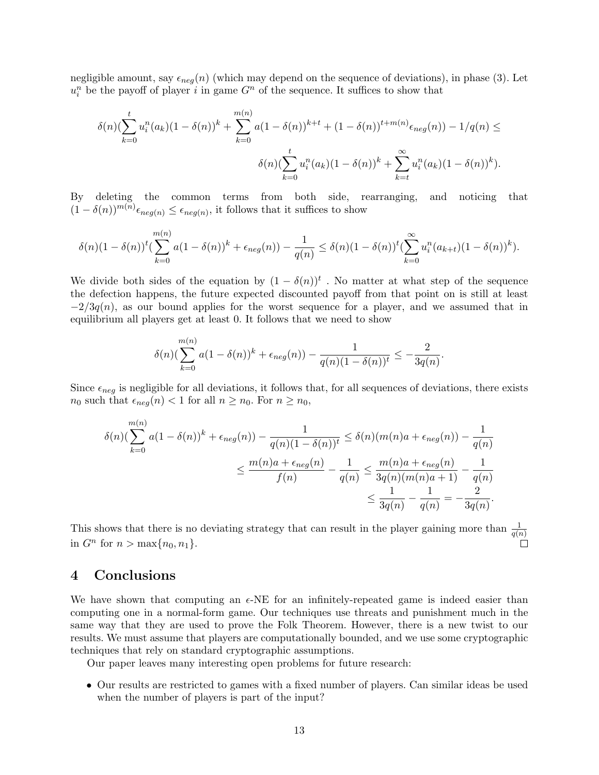negligible amount, say  $\epsilon_{neq}(n)$  (which may depend on the sequence of deviations), in phase (3). Let  $u_i^n$  be the payoff of player i in game  $G^n$  of the sequence. It suffices to show that

$$
\delta(n)\left(\sum_{k=0}^t u_i^n(a_k)(1-\delta(n))^k + \sum_{k=0}^{m(n)} a(1-\delta(n))^{k+t} + (1-\delta(n))^{t+m(n)}\epsilon_{neg}(n)\right) - 1/q(n) \le
$$

$$
\delta(n)\left(\sum_{k=0}^t u_i^n(a_k)(1-\delta(n))^k + \sum_{k=t}^\infty u_i^n(a_k)(1-\delta(n))^k\right).
$$

By deleting the common terms from both side, rearranging, and noticing that  $(1 - \delta(n))^{m(n)} \epsilon_{neg(n)} \leq \epsilon_{neg(n)}$ , it follows that it suffices to show

$$
\delta(n)(1-\delta(n))^t \left(\sum_{k=0}^{m(n)} a(1-\delta(n))^k + \epsilon_{neg}(n)\right) - \frac{1}{q(n)} \leq \delta(n)(1-\delta(n))^t \left(\sum_{k=0}^{\infty} u_i^n(a_{k+t})(1-\delta(n))^k\right).
$$

We divide both sides of the equation by  $(1 - \delta(n))$ <sup>t</sup>. No matter at what step of the sequence the defection happens, the future expected discounted payoff from that point on is still at least  $-2/3q(n)$ , as our bound applies for the worst sequence for a player, and we assumed that in equilibrium all players get at least 0. It follows that we need to show

$$
\delta(n)\left(\sum_{k=0}^{m(n)} a(1-\delta(n))^k + \epsilon_{neg}(n)\right) - \frac{1}{q(n)(1-\delta(n))^t} \le -\frac{2}{3q(n)}.
$$

Since  $\epsilon_{neq}$  is negligible for all deviations, it follows that, for all sequences of deviations, there exists  $n_0$  such that  $\epsilon_{neg}(n) < 1$  for all  $n \geq n_0$ . For  $n \geq n_0$ ,

$$
\delta(n)\left(\sum_{k=0}^{m(n)} a(1-\delta(n))^k + \epsilon_{neg}(n)\right) - \frac{1}{q(n)(1-\delta(n))^t} \le \delta(n)(m(n)a + \epsilon_{neg}(n)) - \frac{1}{q(n)} \n\le \frac{m(n)a + \epsilon_{neg}(n)}{f(n)} - \frac{1}{q(n)} \le \frac{m(n)a + \epsilon_{neg}(n)}{3q(n)(m(n)a + 1)} - \frac{1}{q(n)} \n\le \frac{1}{3q(n)} - \frac{1}{q(n)} = -\frac{2}{3q(n)}.
$$

This shows that there is no deviating strategy that can result in the player gaining more than  $\frac{1}{q(n)}$ in  $G^n$  for  $n > \max\{n_0, n_1\}.$ 

### 4 Conclusions

We have shown that computing an  $\epsilon$ -NE for an infinitely-repeated game is indeed easier than computing one in a normal-form game. Our techniques use threats and punishment much in the same way that they are used to prove the Folk Theorem. However, there is a new twist to our results. We must assume that players are computationally bounded, and we use some cryptographic techniques that rely on standard cryptographic assumptions.

Our paper leaves many interesting open problems for future research:

• Our results are restricted to games with a fixed number of players. Can similar ideas be used when the number of players is part of the input?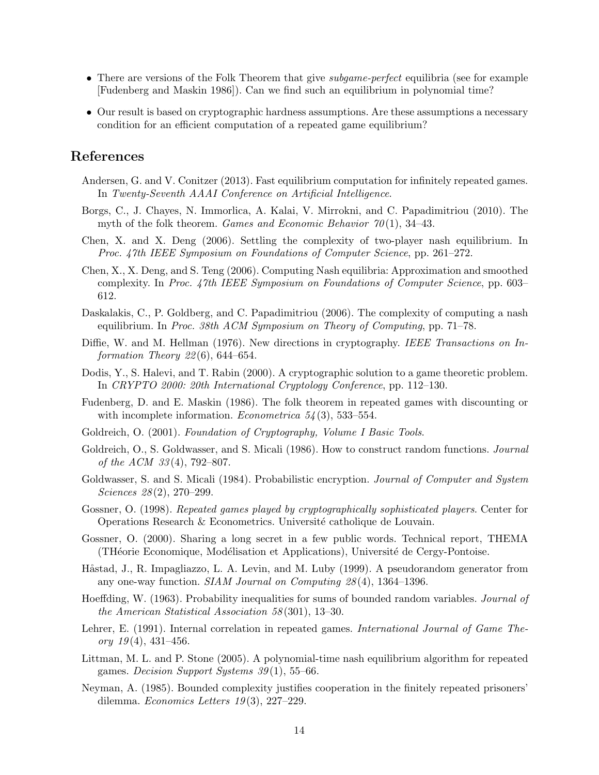- There are versions of the Folk Theorem that give *subgame-perfect* equilibria (see for example [Fudenberg and Maskin 1986]). Can we find such an equilibrium in polynomial time?
- Our result is based on cryptographic hardness assumptions. Are these assumptions a necessary condition for an efficient computation of a repeated game equilibrium?

# References

- Andersen, G. and V. Conitzer (2013). Fast equilibrium computation for infinitely repeated games. In Twenty-Seventh AAAI Conference on Artificial Intelligence.
- Borgs, C., J. Chayes, N. Immorlica, A. Kalai, V. Mirrokni, and C. Papadimitriou (2010). The myth of the folk theorem. Games and Economic Behavior  $70(1)$ , 34–43.
- Chen, X. and X. Deng (2006). Settling the complexity of two-player nash equilibrium. In Proc. 47th IEEE Symposium on Foundations of Computer Science, pp. 261–272.
- Chen, X., X. Deng, and S. Teng (2006). Computing Nash equilibria: Approximation and smoothed complexity. In Proc. 47th IEEE Symposium on Foundations of Computer Science, pp. 603– 612.
- Daskalakis, C., P. Goldberg, and C. Papadimitriou (2006). The complexity of computing a nash equilibrium. In Proc. 38th ACM Symposium on Theory of Computing, pp. 71–78.
- Diffie, W. and M. Hellman (1976). New directions in cryptography. IEEE Transactions on Information Theory  $22(6)$ , 644–654.
- Dodis, Y., S. Halevi, and T. Rabin (2000). A cryptographic solution to a game theoretic problem. In CRYPTO 2000: 20th International Cryptology Conference, pp. 112–130.
- Fudenberg, D. and E. Maskin (1986). The folk theorem in repeated games with discounting or with incomplete information. *Econometrica*  $54(3)$ , 533–554.
- Goldreich, O. (2001). Foundation of Cryptography, Volume I Basic Tools.
- Goldreich, O., S. Goldwasser, and S. Micali (1986). How to construct random functions. *Journal* of the ACM 33 (4), 792–807.
- Goldwasser, S. and S. Micali (1984). Probabilistic encryption. Journal of Computer and System Sciences 28(2), 270–299.
- Gossner, O. (1998). Repeated games played by cryptographically sophisticated players. Center for Operations Research & Econometrics. Université catholique de Louvain.
- Gossner, O. (2000). Sharing a long secret in a few public words. Technical report, THEMA (THéorie Economique, Modélisation et Applications), Université de Cergy-Pontoise.
- Håstad, J., R. Impagliazzo, L. A. Levin, and M. Luby (1999). A pseudorandom generator from any one-way function. SIAM Journal on Computing 28 (4), 1364–1396.
- Hoeffding, W. (1963). Probability inequalities for sums of bounded random variables. *Journal of* the American Statistical Association 58 (301), 13–30.
- Lehrer, E. (1991). Internal correlation in repeated games. International Journal of Game Theory  $19(4)$ ,  $431-456$ .
- Littman, M. L. and P. Stone (2005). A polynomial-time nash equilibrium algorithm for repeated games. Decision Support Systems  $39(1)$ , 55–66.
- Neyman, A. (1985). Bounded complexity justifies cooperation in the finitely repeated prisoners' dilemma. Economics Letters  $19(3)$ , 227–229.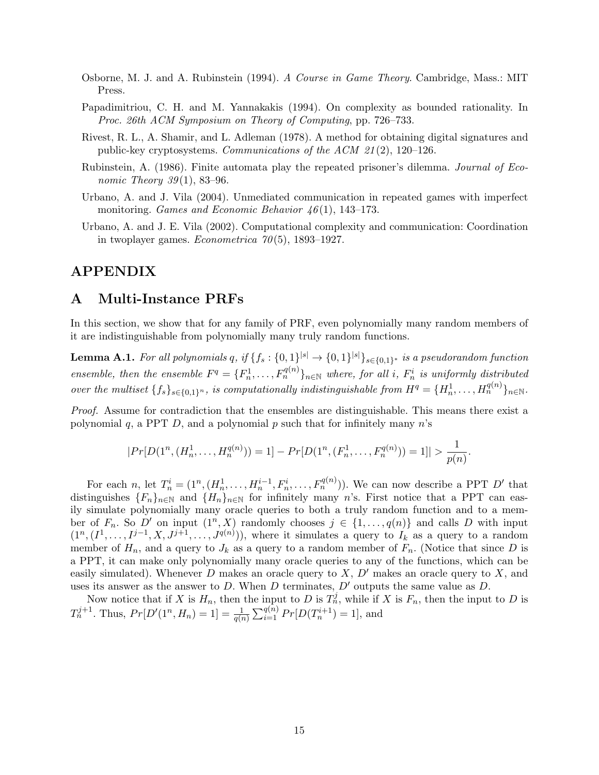- Osborne, M. J. and A. Rubinstein (1994). A Course in Game Theory. Cambridge, Mass.: MIT Press.
- Papadimitriou, C. H. and M. Yannakakis (1994). On complexity as bounded rationality. In Proc. 26th ACM Symposium on Theory of Computing, pp. 726–733.
- Rivest, R. L., A. Shamir, and L. Adleman (1978). A method for obtaining digital signatures and public-key cryptosystems. Communications of the ACM 21 (2), 120–126.
- Rubinstein, A. (1986). Finite automata play the repeated prisoner's dilemma. Journal of Economic Theory  $39(1)$ , 83-96.
- Urbano, A. and J. Vila (2004). Unmediated communication in repeated games with imperfect monitoring. Games and Economic Behavior  $46(1)$ , 143–173.
- Urbano, A. and J. E. Vila (2002). Computational complexity and communication: Coordination in twoplayer games. *Econometrica*  $70(5)$ , 1893–1927.

# APPENDIX

### A Multi-Instance PRFs

In this section, we show that for any family of PRF, even polynomially many random members of it are indistinguishable from polynomially many truly random functions.

**Lemma A.1.** For all polynomials  $q$ , if  $\{f_s: \{0,1\}^{|s|} \to \{0,1\}^{|s|}\}_{s \in \{0,1\}^*}$  is a pseudorandom function ensemble, then the ensemble  $F^q = \{F_n^1, \ldots, F_n^{q(n)}\}_{n \in \mathbb{N}}$  where, for all i,  $F_n^i$  is uniformly distributed over the multiset  $\{f_s\}_{s\in\{0,1\}^n}$ , is computationally indistinguishable from  $H^q = \{H_n^1, \ldots, H_n^{q(n)}\}_{n\in\mathbb{N}}$ .

Proof. Assume for contradiction that the ensembles are distinguishable. This means there exist a polynomial q, a PPT  $D$ , and a polynomial p such that for infinitely many n's

$$
|Pr[D(1^n, (H_n^1, \dots, H_n^{q(n)})) = 1] - Pr[D(1^n, (F_n^1, \dots, F_n^{q(n)})) = 1]| > \frac{1}{p(n)}.
$$

For each n, let  $T_n^i = (1^n, (H_n^1, \ldots, H_n^{i-1}, F_n^i, \ldots, F_n^{q(n)}))$ . We can now describe a PPT D' that distinguishes  $\{F_n\}_{n\in\mathbb{N}}$  and  $\{H_n\}_{n\in\mathbb{N}}$  for infinitely many n's. First notice that a PPT can easily simulate polynomially many oracle queries to both a truly random function and to a member of  $F_n$ . So D' on input  $(1^n, X)$  randomly chooses  $j \in \{1, ..., q(n)\}$  and calls D with input  $(1^n, (I^1, \ldots, I^{j-1}, X, J^{j+1}, \ldots, J^{q(n)})),$  where it simulates a query to  $I_k$  as a query to a random member of  $H_n$ , and a query to  $J_k$  as a query to a random member of  $F_n$ . (Notice that since D is a PPT, it can make only polynomially many oracle queries to any of the functions, which can be easily simulated). Whenever D makes an oracle query to X,  $D'$  makes an oracle query to X, and uses its answer as the answer to  $D$ . When  $D$  terminates,  $D'$  outputs the same value as  $D$ .

Now notice that if X is  $H_n$ , then the input to D is  $T_n^j$ , while if X is  $F_n$ , then the input to D is  $T_n^{j+1}$ . Thus,  $Pr[D'(1^n, H_n) = 1] = \frac{1}{q(n)} \sum_{i=1}^{q(n)} Pr[D(T_n^{i+1}) = 1]$ , and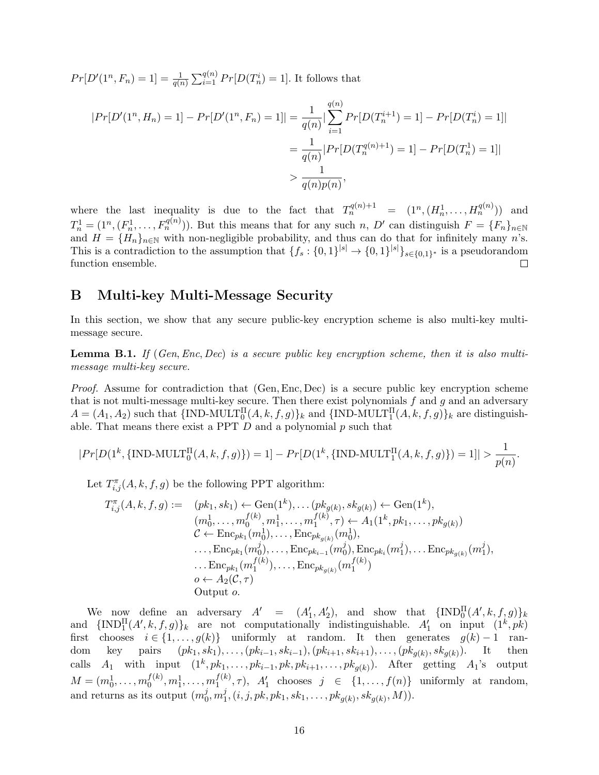$Pr[D'(1^n, F_n) = 1] = \frac{1}{q(n)} \sum_{i=1}^{q(n)} Pr[D(T_n^i) = 1]$ . It follows that

$$
|Pr[D'(1^n, H_n) = 1] - Pr[D'(1^n, F_n) = 1]| = \frac{1}{q(n)} \sum_{i=1}^{q(n)} Pr[D(T_n^{i+1}) = 1] - Pr[D(T_n^{i}) = 1]|
$$

$$
= \frac{1}{q(n)} |Pr[D(T_n^{q(n)+1}) = 1] - Pr[D(T_n^{1}) = 1]|
$$

$$
> \frac{1}{q(n)p(n)},
$$

where the last inequality is due to the fact that  $T_n^{q(n)+1} = (1^n, (H_n^1, \ldots, H_n^{q(n)}))$  and  $T_n^1 = (1^n, (F_n^1, \ldots, F_n^{q(n)}))$ . But this means that for any such n, D' can distinguish  $F = \{F_n\}_{n \in \mathbb{N}}$ and  $H = \{H_n\}_{n\in\mathbb{N}}$  with non-negligible probability, and thus can do that for infinitely many n's. This is a contradiction to the assumption that  $\{f_s: \{0,1\}^{|s|} \to \{0,1\}^{|s|}\}_{s \in \{0,1\}^*}$  is a pseudorandom function ensemble.  $\Box$ 

# B Multi-key Multi-Message Security

In this section, we show that any secure public-key encryption scheme is also multi-key multimessage secure.

**Lemma B.1.** If  $(Gen, Enc, Dec)$  is a secure public key encryption scheme, then it is also multimessage multi-key secure.

Proof. Assume for contradiction that (Gen,Enc, Dec) is a secure public key encryption scheme that is not multi-message multi-key secure. Then there exist polynomials  $f$  and  $g$  and an adversary  $A = (A_1, A_2)$  such that  ${\text{IND-MULT}}_0^{\Pi}(A, k, f, g)$ <sub>k</sub> and  ${\text{IND-MULT}}_1^{\Pi}(A, k, f, g)$ <sub>k</sub> are distinguishable. That means there exist a PPT  $D$  and a polynomial  $p$  such that

$$
|Pr[D(1^k, \{IND\text{-}MULT_0^{\Pi}(A, k, f, g))\} = 1] - Pr[D(1^k, \{IND\text{-}MULT_1^{\Pi}(A, k, f, g))\} = 1]| > \frac{1}{p(n)}.
$$

Let  $T_{i,j}^{\pi}(A, k, f, g)$  be the following PPT algorithm:

$$
T_{i,j}^{\pi}(A, k, f, g) := (pk_1, sk_1) \leftarrow \text{Gen}(1^k), \dots (pk_{g(k)}, sk_{g(k)}) \leftarrow \text{Gen}(1^k), (m_0^1, \dots, m_0^{f(k)}, m_1^1, \dots, m_1^{f(k)}, \tau) \leftarrow A_1(1^k, pk_1, \dots, pk_{g(k)}) C \leftarrow \text{Enc}_{pk_1}(m_0^1), \dots, \text{Enc}_{pk_{g(k)}}(m_0^1), \dots, \text{Enc}_{pk_1}(m_0^j), \dots, \text{Enc}_{pk_{k-1}}(m_0^j), \text{Enc}_{pk_i}(m_1^j), \dots, \text{Enc}_{pk_{g(k)}}(m_1^j), \dots \text{Enc}_{pk_1}(m_1^{f(k)}), \dots, \text{Enc}_{pk_{g(k)}}(m_1^{f(k)}) o \leftarrow A_2(\mathcal{C}, \tau) \n\text{Output } o.
$$

We now define an adversary  $A' = (A'_1, A'_2)$ , and show that  ${\text{IND}}_0^{\Pi}(A', k, f, g)$ <sub>k</sub> and  ${\{\text{IND}_1^{\Pi}(A',k,f,g)\}}_k$  are not computationally indistinguishable.  $A'_1$  on input  $(1^k, p^k)$ first chooses  $i \in \{1, ..., g(k)\}$  uniformly at random. It then generates  $g(k) - 1$  random key pairs  $(pk_1, sk_1), \ldots, (pk_{i-1}, sk_{i-1}), (pk_{i+1}, sk_{i+1}), \ldots, (pk_{g(k)}, sk_{g(k)}).$  It then calls  $A_1$  with input  $(1^k, pk_1, \ldots, pk_{i-1}, pk, pk_{i+1}, \ldots, pk_{g(k)})$ . After getting  $A_1$ 's output  $M = (m_0^1, \ldots, m_0^{f(k)})$  $_{0}^{f(k)}, m_1^1, \ldots, m_1^{f(k)}$  $f^{(k)}_1, \tau$ ,  $A'_1$  chooses  $j \in \{1, ..., f(n)\}$  uniformly at random, and returns as its output  $(m_0^j)$  $j \atop 0, m^j_1$  $\{j_{1},(i,j,pk,pk_{1},sk_{1},\ldots,pk_{g(k)},sk_{g(k)},M)\}.$